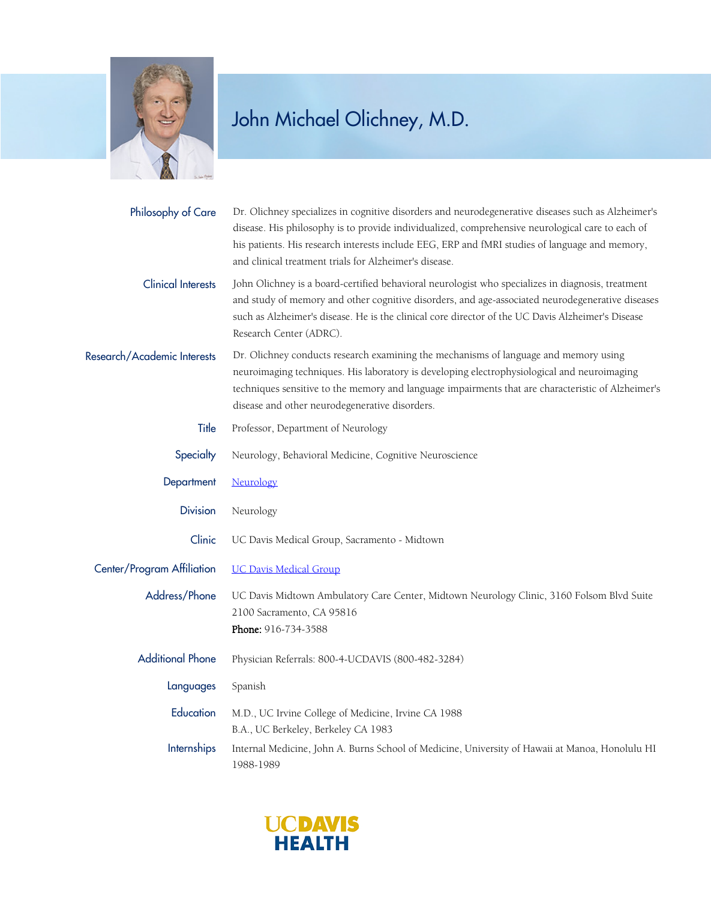

| Philosophy of Care          | Dr. Olichney specializes in cognitive disorders and neurodegenerative diseases such as Alzheimer's<br>disease. His philosophy is to provide individualized, comprehensive neurological care to each of<br>his patients. His research interests include EEG, ERP and fMRI studies of language and memory,<br>and clinical treatment trials for Alzheimer's disease. |
|-----------------------------|--------------------------------------------------------------------------------------------------------------------------------------------------------------------------------------------------------------------------------------------------------------------------------------------------------------------------------------------------------------------|
| <b>Clinical Interests</b>   | John Olichney is a board-certified behavioral neurologist who specializes in diagnosis, treatment<br>and study of memory and other cognitive disorders, and age-associated neurodegenerative diseases<br>such as Alzheimer's disease. He is the clinical core director of the UC Davis Alzheimer's Disease<br>Research Center (ADRC).                              |
| Research/Academic Interests | Dr. Olichney conducts research examining the mechanisms of language and memory using<br>neuroimaging techniques. His laboratory is developing electrophysiological and neuroimaging<br>techniques sensitive to the memory and language impairments that are characteristic of Alzheimer's<br>disease and other neurodegenerative disorders.                        |
| Title                       | Professor, Department of Neurology                                                                                                                                                                                                                                                                                                                                 |
| Specialty                   | Neurology, Behavioral Medicine, Cognitive Neuroscience                                                                                                                                                                                                                                                                                                             |
| Department                  | Neurology                                                                                                                                                                                                                                                                                                                                                          |
| <b>Division</b>             | Neurology                                                                                                                                                                                                                                                                                                                                                          |
| Clinic                      | UC Davis Medical Group, Sacramento - Midtown                                                                                                                                                                                                                                                                                                                       |
| Center/Program Affiliation  | <b>UC Davis Medical Group</b>                                                                                                                                                                                                                                                                                                                                      |
| Address/Phone               | UC Davis Midtown Ambulatory Care Center, Midtown Neurology Clinic, 3160 Folsom Blvd Suite<br>2100 Sacramento, CA 95816<br>Phone: 916-734-3588                                                                                                                                                                                                                      |
| <b>Additional Phone</b>     | Physician Referrals: 800-4-UCDAVIS (800-482-3284)                                                                                                                                                                                                                                                                                                                  |
| Languages                   | Spanish                                                                                                                                                                                                                                                                                                                                                            |
| Education                   | M.D., UC Irvine College of Medicine, Irvine CA 1988<br>B.A., UC Berkeley, Berkeley CA 1983                                                                                                                                                                                                                                                                         |
| Internships                 | Internal Medicine, John A. Burns School of Medicine, University of Hawaii at Manoa, Honolulu HI<br>1988-1989                                                                                                                                                                                                                                                       |

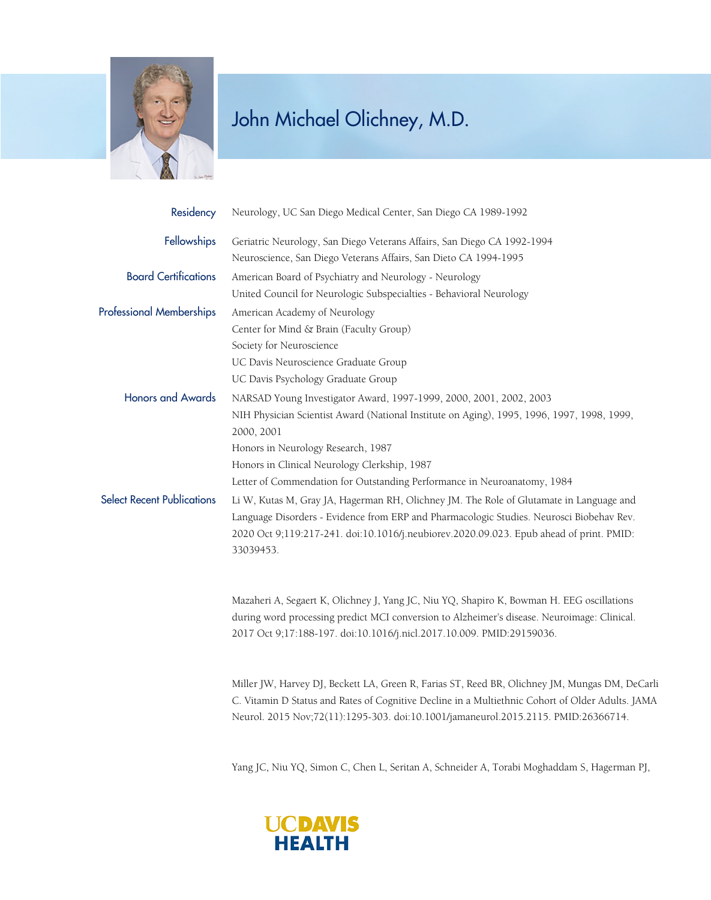

| Residency                         | Neurology, UC San Diego Medical Center, San Diego CA 1989-1992                                                                                                                      |
|-----------------------------------|-------------------------------------------------------------------------------------------------------------------------------------------------------------------------------------|
| Fellowships                       | Geriatric Neurology, San Diego Veterans Affairs, San Diego CA 1992-1994                                                                                                             |
|                                   | Neuroscience, San Diego Veterans Affairs, San Dieto CA 1994-1995                                                                                                                    |
| <b>Board Certifications</b>       | American Board of Psychiatry and Neurology - Neurology                                                                                                                              |
|                                   | United Council for Neurologic Subspecialties - Behavioral Neurology                                                                                                                 |
| <b>Professional Memberships</b>   | American Academy of Neurology                                                                                                                                                       |
|                                   | Center for Mind & Brain (Faculty Group)                                                                                                                                             |
|                                   | Society for Neuroscience                                                                                                                                                            |
|                                   | UC Davis Neuroscience Graduate Group                                                                                                                                                |
|                                   | UC Davis Psychology Graduate Group                                                                                                                                                  |
| <b>Honors and Awards</b>          | NARSAD Young Investigator Award, 1997-1999, 2000, 2001, 2002, 2003                                                                                                                  |
|                                   | NIH Physician Scientist Award (National Institute on Aging), 1995, 1996, 1997, 1998, 1999,                                                                                          |
|                                   | 2000, 2001                                                                                                                                                                          |
|                                   | Honors in Neurology Research, 1987                                                                                                                                                  |
|                                   | Honors in Clinical Neurology Clerkship, 1987                                                                                                                                        |
|                                   | Letter of Commendation for Outstanding Performance in Neuroanatomy, 1984                                                                                                            |
| <b>Select Recent Publications</b> | Li W, Kutas M, Gray JA, Hagerman RH, Olichney JM. The Role of Glutamate in Language and<br>Language Disorders - Evidence from ERP and Pharmacologic Studies. Neurosci Biobehav Rev. |
|                                   | 2020 Oct 9;119:217-241. doi:10.1016/j.neubiorev.2020.09.023. Epub ahead of print. PMID:<br>33039453.                                                                                |
|                                   | Mazaheri A, Segaert K, Olichney J, Yang JC, Niu YQ, Shapiro K, Bowman H. EEG oscillations                                                                                           |
|                                   | during word processing predict MCI conversion to Alzheimer's disease. Neuroimage: Clinical.<br>2017 Oct 9;17:188-197. doi:10.1016/j.nicl.2017.10.009. PMID:29159036.                |
|                                   | Miller JW, Harvey DJ, Beckett LA, Green R, Farias ST, Reed BR, Olichney JM, Mungas DM, DeCarli                                                                                      |

C. Vitamin D Status and Rates of Cognitive Decline in a Multiethnic Cohort of Older Adults. JAMA Neurol. 2015 Nov;72(11):1295-303. doi:10.1001/jamaneurol.2015.2115. PMID:26366714.

Yang JC, Niu YQ, Simon C, Chen L, Seritan A, Schneider A, Torabi Moghaddam S, Hagerman PJ,

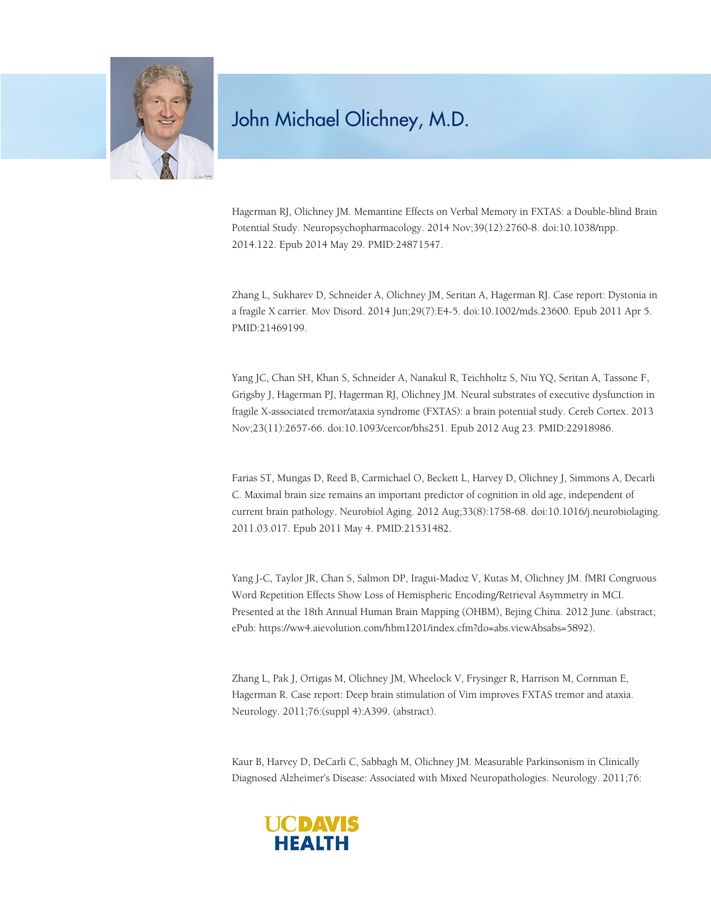

Hagerman RJ, Olichney JM. Memantine Effects on Verbal Memory in FXTAS: a Double-blind Brain Potential Study. Neuropsychopharmacology. 2014 Nov;39(12):2760-8. doi:10.1038/npp. 2014.122. Epub 2014 May 29. PMID:24871547.

Zhang L, Sukharev D, Schneider A, Olichney JM, Seritan A, Hagerman RJ. Case report: Dystonia in a fragile X carrier. Mov Disord. 2014 Jun;29(7):E4-5. doi:10.1002/mds.23600. Epub 2011 Apr 5. PMID:21469199.

Yang JC, Chan SH, Khan S, Schneider A, Nanakul R, Teichholtz S, Niu YQ, Seritan A, Tassone F, Grigsby J, Hagerman PJ, Hagerman RJ, Olichney JM. Neural substrates of executive dysfunction in fragile X-associated tremor/ataxia syndrome (FXTAS): a brain potential study. Cereb Cortex. 2013 Nov;23(11):2657-66. doi:10.1093/cercor/bhs251. Epub 2012 Aug 23. PMID:22918986.

Farias ST, Mungas D, Reed B, Carmichael O, Beckett L, Harvey D, Olichney J, Simmons A, Decarli C. Maximal brain size remains an important predictor of cognition in old age, independent of current brain pathology. Neurobiol Aging. 2012 Aug;33(8):1758-68. doi:10.1016/j.neurobiolaging. 2011.03.017. Epub 2011 May 4. PMID:21531482.

Yang J-C, Taylor JR, Chan S, Salmon DP, Iragui-Madoz V, Kutas M, Olichney JM. fMRI Congruous Word Repetition Effects Show Loss of Hemispheric Encoding/Retrieval Asymmetry in MCI. Presented at the 18th Annual Human Brain Mapping (OHBM), Bejing China. 2012 June. (abstract; ePub: https://ww4.aievolution.com/hbm1201/index.cfm?do=abs.viewAbsabs=5892).

Zhang L, Pak J, Ortigas M, Olichney JM, Wheelock V, Frysinger R, Harrison M, Cornman E, Hagerman R. Case report: Deep brain stimulation of Vim improves FXTAS tremor and ataxia. Neurology. 2011;76:(suppl 4):A399. (abstract).

Kaur B, Harvey D, DeCarli C, Sabbagh M, Olichney JM. Measurable Parkinsonism in Clinically Diagnosed Alzheimer's Disease: Associated with Mixed Neuropathologies. Neurology. 2011;76: